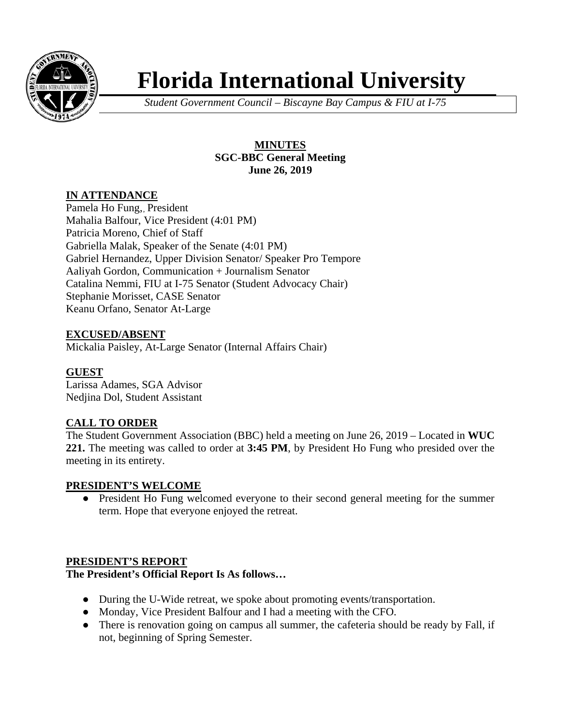

# **Florida International University**

*Student Government Council – Biscayne Bay Campus & FIU at I-75*

# **MINUTES SGC-BBC General Meeting June 26, 2019**

# **IN ATTENDANCE**

Pamela Ho Fung,, President Mahalia Balfour, Vice President (4:01 PM) Patricia Moreno, Chief of Staff Gabriella Malak, Speaker of the Senate (4:01 PM) Gabriel Hernandez, Upper Division Senator/ Speaker Pro Tempore Aaliyah Gordon, Communication + Journalism Senator Catalina Nemmi, FIU at I-75 Senator (Student Advocacy Chair) Stephanie Morisset, CASE Senator Keanu Orfano, Senator At-Large

# **EXCUSED/ABSENT**

Mickalia Paisley, At-Large Senator (Internal Affairs Chair)

# **GUEST**

Larissa Adames, SGA Advisor Nedjina Dol, Student Assistant

# **CALL TO ORDER**

The Student Government Association (BBC) held a meeting on June 26, 2019 – Located in **WUC 221.** The meeting was called to order at **3:45 PM**, by President Ho Fung who presided over the meeting in its entirety.

#### **PRESIDENT'S WELCOME**

● President Ho Fung welcomed everyone to their second general meeting for the summer term. Hope that everyone enjoyed the retreat.

# **PRESIDENT'S REPORT**

#### **The President's Official Report Is As follows…**

- During the U-Wide retreat, we spoke about promoting events/transportation.
- Monday, Vice President Balfour and I had a meeting with the CFO.
- There is renovation going on campus all summer, the cafeteria should be ready by Fall, if not, beginning of Spring Semester.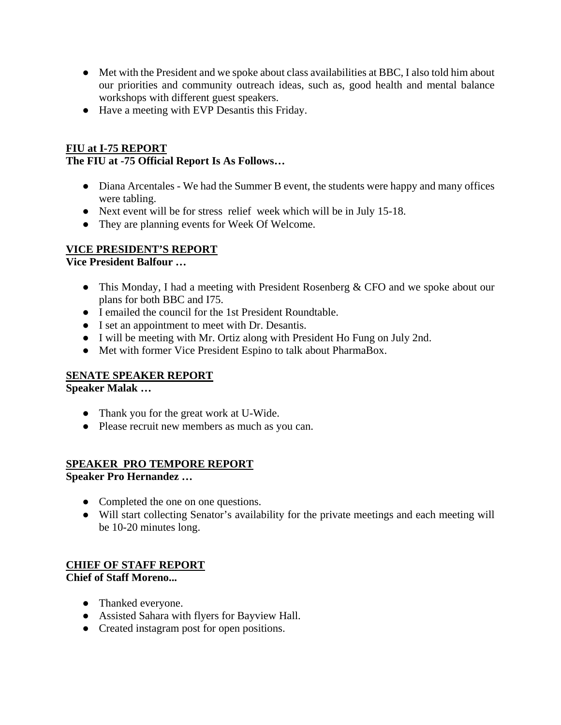- Met with the President and we spoke about class availabilities at BBC, I also told him about our priorities and community outreach ideas, such as, good health and mental balance workshops with different guest speakers.
- Have a meeting with EVP Desantis this Friday.

# **FIU at I-75 REPORT**

# **The FIU at -75 Official Report Is As Follows…**

- Diana Arcentales We had the Summer B event, the students were happy and many offices were tabling.
- Next event will be for stress relief week which will be in July 15-18.
- They are planning events for Week Of Welcome.

# **VICE PRESIDENT'S REPORT**

**Vice President Balfour …** 

- This Monday, I had a meeting with President Rosenberg & CFO and we spoke about our plans for both BBC and I75.
- I emailed the council for the 1st President Roundtable.
- I set an appointment to meet with Dr. Desantis.
- I will be meeting with Mr. Ortiz along with President Ho Fung on July 2nd.
- Met with former Vice President Espino to talk about PharmaBox.

# **SENATE SPEAKER REPORT**

**Speaker Malak …** 

- Thank you for the great work at U-Wide.
- Please recruit new members as much as you can.

# **SPEAKER PRO TEMPORE REPORT**

**Speaker Pro Hernandez …** 

- Completed the one on one questions.
- Will start collecting Senator's availability for the private meetings and each meeting will be 10-20 minutes long.

## **CHIEF OF STAFF REPORT Chief of Staff Moreno...**

- Thanked everyone.
- Assisted Sahara with flyers for Bayview Hall.
- Created instagram post for open positions.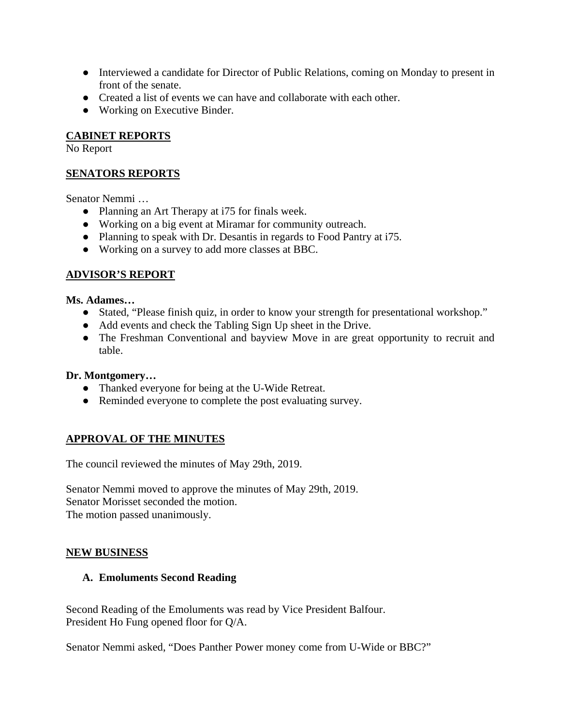- Interviewed a candidate for Director of Public Relations, coming on Monday to present in front of the senate.
- Created a list of events we can have and collaborate with each other.
- Working on Executive Binder.

# **CABINET REPORTS**

No Report

# **SENATORS REPORTS**

Senator Nemmi …

- Planning an Art Therapy at i75 for finals week.
- Working on a big event at Miramar for community outreach.
- Planning to speak with Dr. Desantis in regards to Food Pantry at i75.
- Working on a survey to add more classes at BBC.

# **ADVISOR'S REPORT**

**Ms. Adames…** 

- Stated, "Please finish quiz, in order to know your strength for presentational workshop."
- Add events and check the Tabling Sign Up sheet in the Drive.
- The Freshman Conventional and bayview Move in are great opportunity to recruit and table.

# **Dr. Montgomery…**

- Thanked everyone for being at the U-Wide Retreat.
- Reminded everyone to complete the post evaluating survey.

# **APPROVAL OF THE MINUTES**

The council reviewed the minutes of May 29th, 2019.

Senator Nemmi moved to approve the minutes of May 29th, 2019. Senator Morisset seconded the motion. The motion passed unanimously.

# **NEW BUSINESS**

# **A. Emoluments Second Reading**

Second Reading of the Emoluments was read by Vice President Balfour. President Ho Fung opened floor for Q/A.

Senator Nemmi asked, "Does Panther Power money come from U-Wide or BBC?"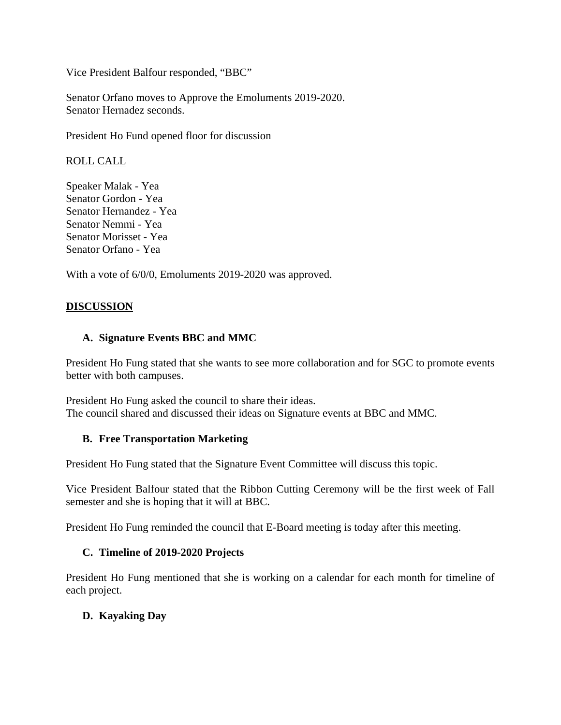Vice President Balfour responded, "BBC"

Senator Orfano moves to Approve the Emoluments 2019-2020. Senator Hernadez seconds.

President Ho Fund opened floor for discussion

ROLL CALL

Speaker Malak - Yea Senator Gordon - Yea Senator Hernandez - Yea Senator Nemmi - Yea Senator Morisset - Yea Senator Orfano - Yea

With a vote of 6/0/0, Emoluments 2019-2020 was approved.

# **DISCUSSION**

## **A. Signature Events BBC and MMC**

President Ho Fung stated that she wants to see more collaboration and for SGC to promote events better with both campuses.

President Ho Fung asked the council to share their ideas. The council shared and discussed their ideas on Signature events at BBC and MMC.

#### **B. Free Transportation Marketing**

President Ho Fung stated that the Signature Event Committee will discuss this topic.

Vice President Balfour stated that the Ribbon Cutting Ceremony will be the first week of Fall semester and she is hoping that it will at BBC.

President Ho Fung reminded the council that E-Board meeting is today after this meeting.

#### **C. Timeline of 2019-2020 Projects**

President Ho Fung mentioned that she is working on a calendar for each month for timeline of each project.

#### **D. Kayaking Day**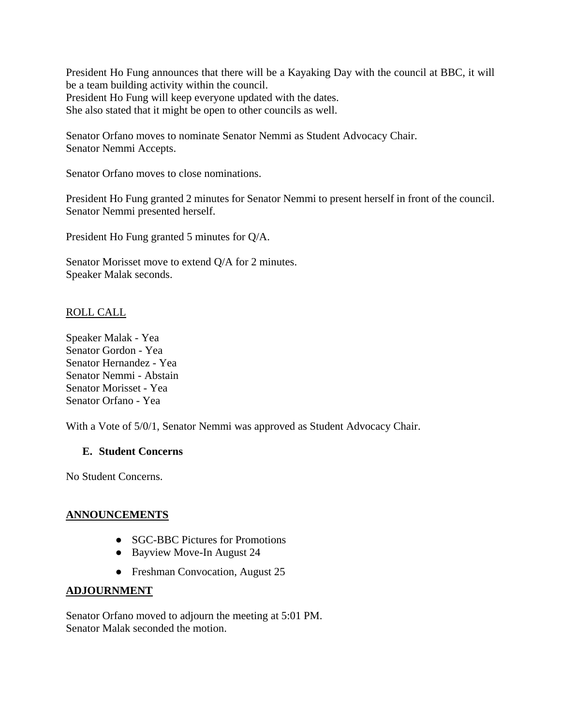President Ho Fung announces that there will be a Kayaking Day with the council at BBC, it will be a team building activity within the council. President Ho Fung will keep everyone updated with the dates. She also stated that it might be open to other councils as well.

Senator Orfano moves to nominate Senator Nemmi as Student Advocacy Chair. Senator Nemmi Accepts.

Senator Orfano moves to close nominations.

President Ho Fung granted 2 minutes for Senator Nemmi to present herself in front of the council. Senator Nemmi presented herself.

President Ho Fung granted 5 minutes for Q/A.

Senator Morisset move to extend Q/A for 2 minutes. Speaker Malak seconds.

## ROLL CALL

Speaker Malak - Yea Senator Gordon - Yea Senator Hernandez - Yea Senator Nemmi - Abstain Senator Morisset - Yea Senator Orfano - Yea

With a Vote of 5/0/1, Senator Nemmi was approved as Student Advocacy Chair.

#### **E. Student Concerns**

No Student Concerns.

#### **ANNOUNCEMENTS**

- **SGC-BBC Pictures for Promotions**
- Bayview Move-In August 24
- Freshman Convocation, August 25

#### **ADJOURNMENT**

Senator Orfano moved to adjourn the meeting at 5:01 PM. Senator Malak seconded the motion.